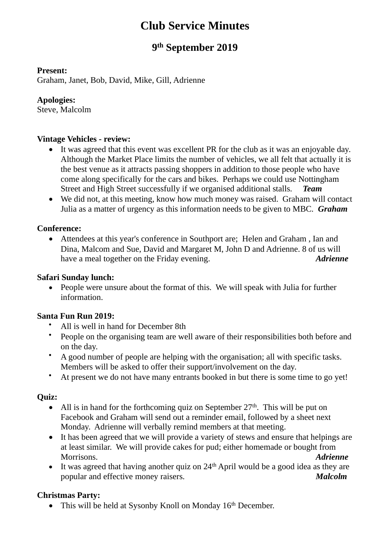# **Club Service Minutes**

# **9 th September 2019**

#### **Present:**

Graham, Janet, Bob, David, Mike, Gill, Adrienne

#### **Apologies:**

Steve, Malcolm

#### **Vintage Vehicles - review:**

- It was agreed that this event was excellent PR for the club as it was an enjoyable day. Although the Market Place limits the number of vehicles, we all felt that actually it is the best venue as it attracts passing shoppers in addition to those people who have come along specifically for the cars and bikes. Perhaps we could use Nottingham Street and High Street successfully if we organised additional stalls. *Team*
- We did not, at this meeting, know how much money was raised. Graham will contact Julia as a matter of urgency as this information needs to be given to MBC. *Graham*

#### **Conference:**

• Attendees at this year's conference in Southport are; Helen and Graham , Ian and Dina, Malcom and Sue, David and Margaret M, John D and Adrienne. 8 of us will have a meal together on the Friday evening. *Adrienne* 

#### **Safari Sunday lunch:**

• People were unsure about the format of this. We will speak with Julia for further information.

#### **Santa Fun Run 2019:**

- All is well in hand for December 8th
- People on the organising team are well aware of their responsibilities both before and on the day.
- A good number of people are helping with the organisation; all with specific tasks. Members will be asked to offer their support/involvement on the day.
- At present we do not have many entrants booked in but there is some time to go yet!

# **Quiz:**

- All is in hand for the forthcoming quiz on September  $27<sup>th</sup>$ . This will be put on Facebook and Graham will send out a reminder email, followed by a sheet next Monday. Adrienne will verbally remind members at that meeting.
- It has been agreed that we will provide a variety of stews and ensure that helpings are at least similar. We will provide cakes for pud; either homemade or bought from Morrisons. *Adrienne*
- It was agreed that having another quiz on  $24<sup>th</sup>$  April would be a good idea as they are popular and effective money raisers. *Malcolm*

# **Christmas Party:**

• This will be held at Sysonby Knoll on Monday  $16<sup>th</sup>$  December.